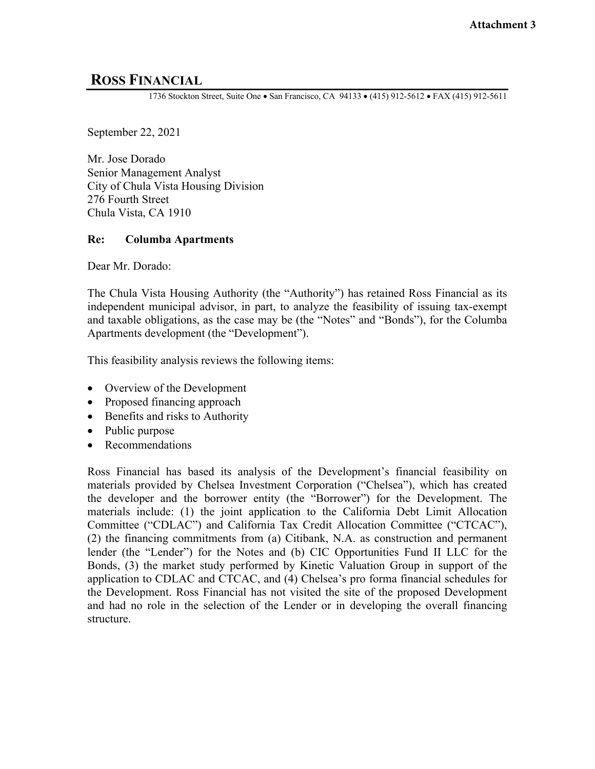# **ROSS FINANCIAL**

1736 Stockton Street, Suite One • San Francisco, CA 94133 • (415) 912-5612 • FAX (415) 912-5611

September 22, 2021

Mr. Jose Dorado Senior Management Analyst City of Chula Vista Housing Division 276 Fourth Street Chula Vista, CA 1910

#### **Re: Columba Apartments**

Dear Mr. Dorado:

The Chula Vista Housing Authority (the "Authority") has retained Ross Financial as its independent municipal advisor, in part, to analyze the feasibility of issuing tax-exempt and taxable obligations, as the case may be (the "Notes" and "Bonds"), for the Columba Apartments development (the "Development").

This feasibility analysis reviews the following items:

- Overview of the Development
- Proposed financing approach
- Benefits and risks to Authority
- Public purpose
- Recommendations

Ross Financial has based its analysis of the Development's financial feasibility on materials provided by Chelsea Investment Corporation ("Chelsea"), which has created the developer and the borrower entity (the "Borrower") for the Development. The materials include: (1) the joint application to the California Debt Limit Allocation Committee ("CDLAC") and California Tax Credit Allocation Committee ("CTCAC"), (2) the financing commitments from (a) Citibank, N.A. as construction and permanent lender (the "Lender") for the Notes and (b) CIC Opportunities Fund II LLC for the Bonds, (3) the market study performed by Kinetic Valuation Group in support of the application to CDLAC and CTCAC, and (4) Chelsea's pro forma financial schedules for the Development. Ross Financial has not visited the site of the proposed Development and had no role in the selection of the Lender or in developing the overall financing structure.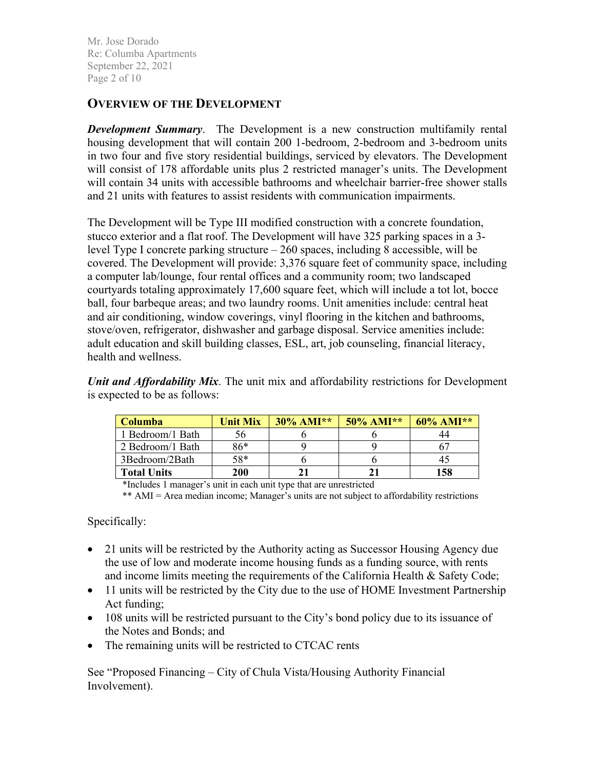Mr. Jose Dorado Re: Columba Apartments September 22, 2021 Page 2 of 10

### **OVERVIEW OF THE DEVELOPMENT**

*Development Summary*. The Development is a new construction multifamily rental housing development that will contain 200 1-bedroom, 2-bedroom and 3-bedroom units in two four and five story residential buildings, serviced by elevators. The Development will consist of 178 affordable units plus 2 restricted manager's units. The Development will contain 34 units with accessible bathrooms and wheelchair barrier-free shower stalls and 21 units with features to assist residents with communication impairments.

The Development will be Type III modified construction with a concrete foundation, stucco exterior and a flat roof. The Development will have 325 parking spaces in a 3 level Type I concrete parking structure  $-260$  spaces, including 8 accessible, will be covered. The Development will provide: 3,376 square feet of community space, including a computer lab/lounge, four rental offices and a community room; two landscaped courtyards totaling approximately 17,600 square feet, which will include a tot lot, bocce ball, four barbeque areas; and two laundry rooms. Unit amenities include: central heat and air conditioning, window coverings, vinyl flooring in the kitchen and bathrooms, stove/oven, refrigerator, dishwasher and garbage disposal. Service amenities include: adult education and skill building classes, ESL, art, job counseling, financial literacy, health and wellness.

*Unit and Affordability Mix*. The unit mix and affordability restrictions for Development is expected to be as follows:

| <b>Columba</b>     | $30\%$ AMI**<br><b>Unit Mix</b> |  | $50\%$ AMI** | $60\%$ AMI** |  |  |
|--------------------|---------------------------------|--|--------------|--------------|--|--|
| 1 Bedroom/1 Bath   | э6                              |  |              |              |  |  |
| 2 Bedroom/1 Bath   | 86*                             |  |              |              |  |  |
| 3Bedroom/2Bath     | 58*                             |  |              |              |  |  |
| <b>Total Units</b> | <b>200</b>                      |  |              | 158          |  |  |

\*Includes 1 manager's unit in each unit type that are unrestricted

\*\* AMI = Area median income; Manager's units are not subject to affordability restrictions

Specifically:

- 21 units will be restricted by the Authority acting as Successor Housing Agency due the use of low and moderate income housing funds as a funding source, with rents and income limits meeting the requirements of the California Health & Safety Code;
- 11 units will be restricted by the City due to the use of HOME Investment Partnership Act funding;
- 108 units will be restricted pursuant to the City's bond policy due to its issuance of the Notes and Bonds; and
- The remaining units will be restricted to CTCAC rents

See "Proposed Financing – City of Chula Vista/Housing Authority Financial Involvement).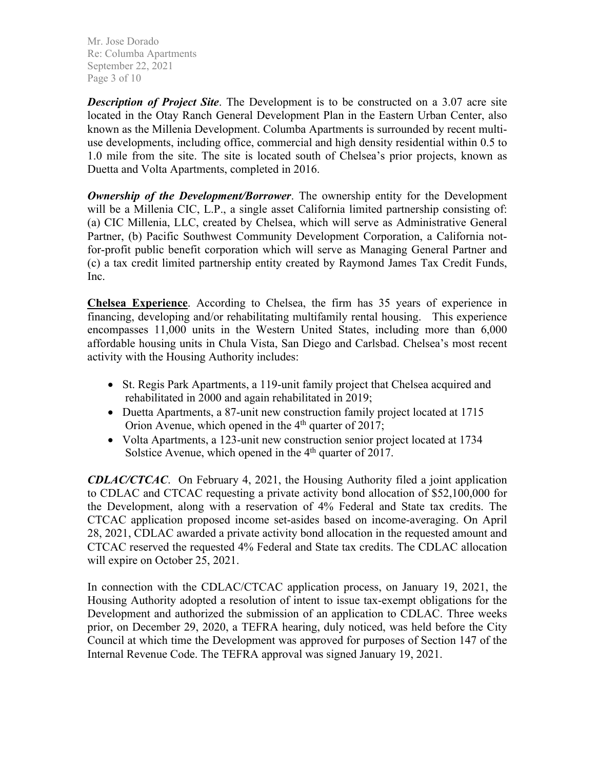Mr. Jose Dorado Re: Columba Apartments September 22, 2021 Page 3 of 10

*Description of Project Site*. The Development is to be constructed on a 3.07 acre site located in the Otay Ranch General Development Plan in the Eastern Urban Center, also known as the Millenia Development. Columba Apartments is surrounded by recent multiuse developments, including office, commercial and high density residential within 0.5 to 1.0 mile from the site. The site is located south of Chelsea's prior projects, known as Duetta and Volta Apartments, completed in 2016.

*Ownership of the Development/Borrower*. The ownership entity for the Development will be a Millenia CIC, L.P., a single asset California limited partnership consisting of: (a) CIC Millenia, LLC, created by Chelsea, which will serve as Administrative General Partner, (b) Pacific Southwest Community Development Corporation, a California notfor-profit public benefit corporation which will serve as Managing General Partner and (c) a tax credit limited partnership entity created by Raymond James Tax Credit Funds, Inc.

**Chelsea Experience**. According to Chelsea, the firm has 35 years of experience in financing, developing and/or rehabilitating multifamily rental housing. This experience encompasses 11,000 units in the Western United States, including more than 6,000 affordable housing units in Chula Vista, San Diego and Carlsbad. Chelsea's most recent activity with the Housing Authority includes:

- St. Regis Park Apartments, a 119-unit family project that Chelsea acquired and rehabilitated in 2000 and again rehabilitated in 2019;
- Duetta Apartments, a 87-unit new construction family project located at 1715 Orion Avenue, which opened in the  $4<sup>th</sup>$  quarter of 2017;
- Volta Apartments, a 123-unit new construction senior project located at 1734 Solstice Avenue, which opened in the 4<sup>th</sup> quarter of 2017.

*CDLAC/CTCAC*. On February 4, 2021, the Housing Authority filed a joint application to CDLAC and CTCAC requesting a private activity bond allocation of \$52,100,000 for the Development, along with a reservation of 4% Federal and State tax credits. The CTCAC application proposed income set-asides based on income-averaging. On April 28, 2021, CDLAC awarded a private activity bond allocation in the requested amount and CTCAC reserved the requested 4% Federal and State tax credits. The CDLAC allocation will expire on October 25, 2021.

In connection with the CDLAC/CTCAC application process, on January 19, 2021, the Housing Authority adopted a resolution of intent to issue tax-exempt obligations for the Development and authorized the submission of an application to CDLAC. Three weeks prior, on December 29, 2020, a TEFRA hearing, duly noticed, was held before the City Council at which time the Development was approved for purposes of Section 147 of the Internal Revenue Code. The TEFRA approval was signed January 19, 2021.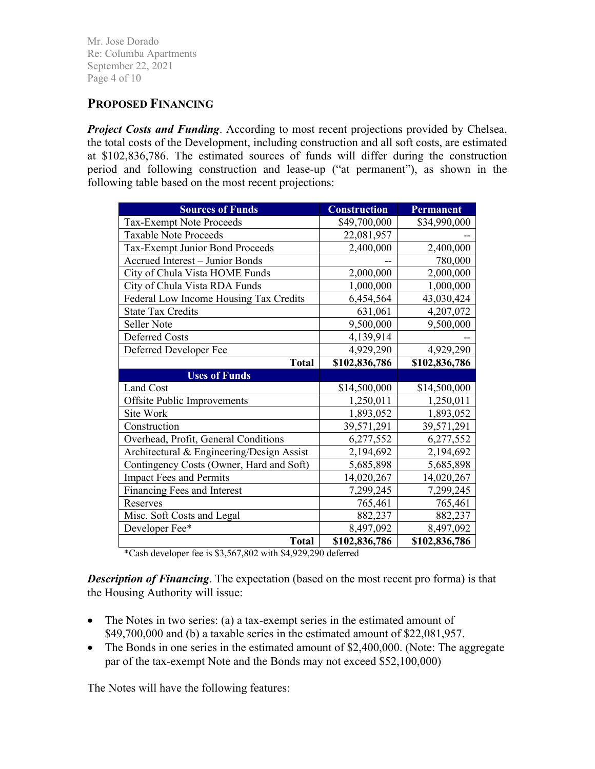Mr. Jose Dorado Re: Columba Apartments September 22, 2021 Page 4 of 10

# **PROPOSED FINANCING**

*Project Costs and Funding.* According to most recent projections provided by Chelsea, the total costs of the Development, including construction and all soft costs, are estimated at \$102,836,786. The estimated sources of funds will differ during the construction period and following construction and lease-up ("at permanent"), as shown in the following table based on the most recent projections:

| <b>Sources of Funds</b>                   | <b>Construction</b> | <b>Permanent</b> |  |
|-------------------------------------------|---------------------|------------------|--|
| Tax-Exempt Note Proceeds                  | \$49,700,000        | \$34,990,000     |  |
| <b>Taxable Note Proceeds</b>              | 22,081,957          |                  |  |
| Tax-Exempt Junior Bond Proceeds           | 2,400,000           | 2,400,000        |  |
| Accrued Interest - Junior Bonds           |                     | 780,000          |  |
| City of Chula Vista HOME Funds            | 2,000,000           | 2,000,000        |  |
| City of Chula Vista RDA Funds             | 1,000,000           | 1,000,000        |  |
| Federal Low Income Housing Tax Credits    | 6,454,564           | 43,030,424       |  |
| <b>State Tax Credits</b>                  | 631,061             | 4,207,072        |  |
| Seller Note                               | 9,500,000           | 9,500,000        |  |
| <b>Deferred Costs</b>                     | 4,139,914           |                  |  |
| Deferred Developer Fee                    | 4,929,290           | 4,929,290        |  |
| <b>Total</b>                              | \$102,836,786       | \$102,836,786    |  |
| <b>Uses of Funds</b>                      |                     |                  |  |
| Land Cost                                 | \$14,500,000        | \$14,500,000     |  |
| Offsite Public Improvements               | 1,250,011           | 1,250,011        |  |
| Site Work                                 | 1,893,052           | 1,893,052        |  |
| Construction                              | 39,571,291          | 39,571,291       |  |
| Overhead, Profit, General Conditions      | 6,277,552           | 6,277,552        |  |
| Architectural & Engineering/Design Assist | 2,194,692           | 2,194,692        |  |
| Contingency Costs (Owner, Hard and Soft)  | 5,685,898           | 5,685,898        |  |
| <b>Impact Fees and Permits</b>            | 14,020,267          | 14,020,267       |  |
| Financing Fees and Interest               | 7,299,245           | 7,299,245        |  |
| Reserves                                  | 765,461             | 765,461          |  |
| Misc. Soft Costs and Legal                | 882,237             | 882,237          |  |
| Developer Fee*                            | 8,497,092           | 8,497,092        |  |
| <b>Total</b>                              | \$102,836,786       | \$102,836,786    |  |

\*Cash developer fee is \$3,567,802 with \$4,929,290 deferred

*Description of Financing*. The expectation (based on the most recent pro forma) is that the Housing Authority will issue:

- The Notes in two series: (a) a tax-exempt series in the estimated amount of \$49,700,000 and (b) a taxable series in the estimated amount of \$22,081,957.
- The Bonds in one series in the estimated amount of \$2,400,000. (Note: The aggregate par of the tax-exempt Note and the Bonds may not exceed \$52,100,000)

The Notes will have the following features: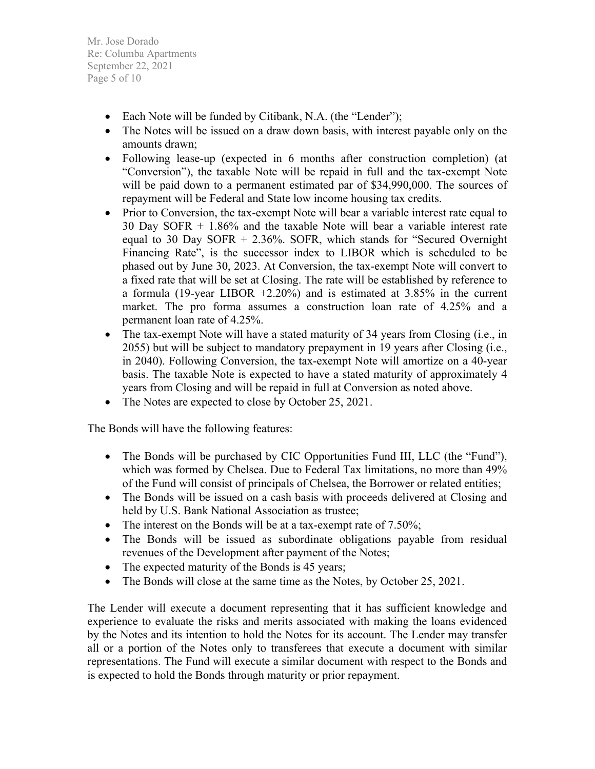Mr. Jose Dorado Re: Columba Apartments September 22, 2021 Page 5 of 10

- Each Note will be funded by Citibank, N.A. (the "Lender");
- The Notes will be issued on a draw down basis, with interest payable only on the amounts drawn;
- Following lease-up (expected in 6 months after construction completion) (at "Conversion"), the taxable Note will be repaid in full and the tax-exempt Note will be paid down to a permanent estimated par of \$34,990,000. The sources of repayment will be Federal and State low income housing tax credits.
- Prior to Conversion, the tax-exempt Note will bear a variable interest rate equal to 30 Day SOFR + 1.86% and the taxable Note will bear a variable interest rate equal to 30 Day SOFR  $+ 2.36\%$ . SOFR, which stands for "Secured Overnight Financing Rate", is the successor index to LIBOR which is scheduled to be phased out by June 30, 2023. At Conversion, the tax-exempt Note will convert to a fixed rate that will be set at Closing. The rate will be established by reference to a formula (19-year LIBOR +2.20%) and is estimated at 3.85% in the current market. The pro forma assumes a construction loan rate of 4.25% and a permanent loan rate of 4.25%.
- The tax-exempt Note will have a stated maturity of 34 years from Closing (i.e., in 2055) but will be subject to mandatory prepayment in 19 years after Closing (i.e., in 2040). Following Conversion, the tax-exempt Note will amortize on a 40-year basis. The taxable Note is expected to have a stated maturity of approximately 4 years from Closing and will be repaid in full at Conversion as noted above.
- The Notes are expected to close by October 25, 2021.

The Bonds will have the following features:

- The Bonds will be purchased by CIC Opportunities Fund III, LLC (the "Fund"), which was formed by Chelsea. Due to Federal Tax limitations, no more than 49% of the Fund will consist of principals of Chelsea, the Borrower or related entities;
- The Bonds will be issued on a cash basis with proceeds delivered at Closing and held by U.S. Bank National Association as trustee;
- The interest on the Bonds will be at a tax-exempt rate of 7.50%;
- The Bonds will be issued as subordinate obligations payable from residual revenues of the Development after payment of the Notes;
- The expected maturity of the Bonds is 45 years;
- The Bonds will close at the same time as the Notes, by October 25, 2021.

The Lender will execute a document representing that it has sufficient knowledge and experience to evaluate the risks and merits associated with making the loans evidenced by the Notes and its intention to hold the Notes for its account. The Lender may transfer all or a portion of the Notes only to transferees that execute a document with similar representations. The Fund will execute a similar document with respect to the Bonds and is expected to hold the Bonds through maturity or prior repayment.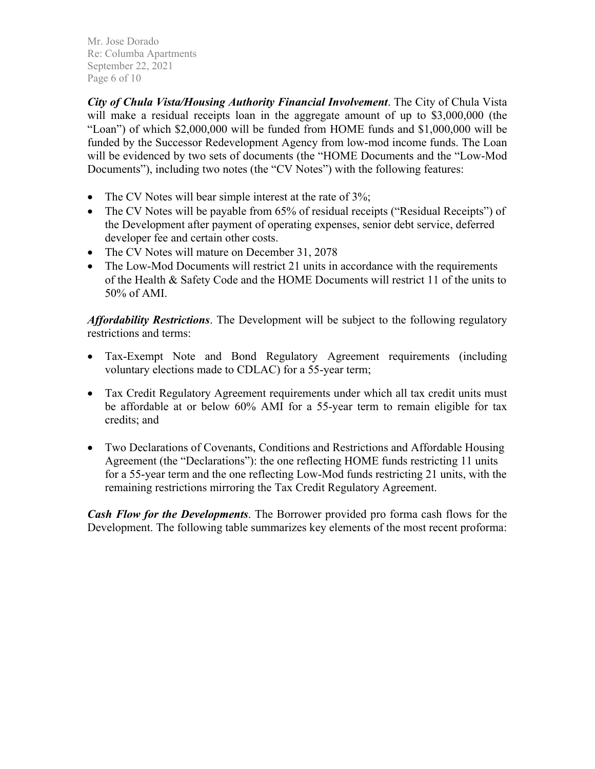Mr. Jose Dorado Re: Columba Apartments September 22, 2021 Page 6 of 10

*City of Chula Vista/Housing Authority Financial Involvement*. The City of Chula Vista will make a residual receipts loan in the aggregate amount of up to \$3,000,000 (the "Loan") of which \$2,000,000 will be funded from HOME funds and \$1,000,000 will be funded by the Successor Redevelopment Agency from low-mod income funds. The Loan will be evidenced by two sets of documents (the "HOME Documents and the "Low-Mod Documents"), including two notes (the "CV Notes") with the following features:

- The CV Notes will bear simple interest at the rate of 3%;
- The CV Notes will be payable from 65% of residual receipts ("Residual Receipts") of the Development after payment of operating expenses, senior debt service, deferred developer fee and certain other costs.
- The CV Notes will mature on December 31, 2078
- The Low-Mod Documents will restrict 21 units in accordance with the requirements of the Health & Safety Code and the HOME Documents will restrict 11 of the units to 50% of AMI.

*Affordability Restrictions*. The Development will be subject to the following regulatory restrictions and terms:

- Tax-Exempt Note and Bond Regulatory Agreement requirements (including voluntary elections made to CDLAC) for a 55-year term;
- Tax Credit Regulatory Agreement requirements under which all tax credit units must be affordable at or below 60% AMI for a 55-year term to remain eligible for tax credits; and
- Two Declarations of Covenants, Conditions and Restrictions and Affordable Housing Agreement (the "Declarations"): the one reflecting HOME funds restricting 11 units for a 55-year term and the one reflecting Low-Mod funds restricting 21 units, with the remaining restrictions mirroring the Tax Credit Regulatory Agreement.

*Cash Flow for the Developments*. The Borrower provided pro forma cash flows for the Development. The following table summarizes key elements of the most recent proforma: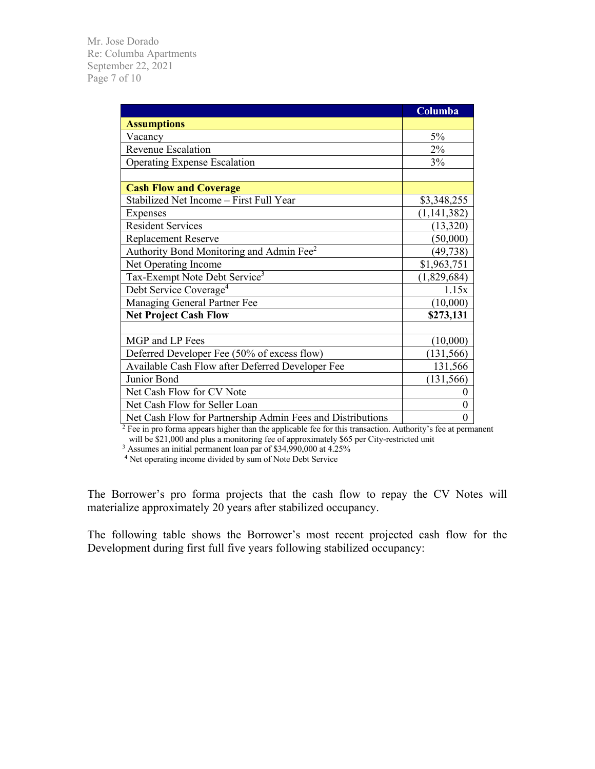Mr. Jose Dorado Re: Columba Apartments September 22, 2021 Page 7 of 10

|                                                            | Columba        |  |  |
|------------------------------------------------------------|----------------|--|--|
| <b>Assumptions</b>                                         |                |  |  |
| Vacancy                                                    | 5%             |  |  |
| Revenue Escalation                                         | 2%             |  |  |
| <b>Operating Expense Escalation</b>                        | 3%             |  |  |
|                                                            |                |  |  |
| <b>Cash Flow and Coverage</b>                              |                |  |  |
| Stabilized Net Income - First Full Year                    | \$3,348,255    |  |  |
| Expenses                                                   | (1, 141, 382)  |  |  |
| <b>Resident Services</b>                                   | (13,320)       |  |  |
| <b>Replacement Reserve</b>                                 | (50,000)       |  |  |
| Authority Bond Monitoring and Admin Fee <sup>2</sup>       | (49, 738)      |  |  |
| Net Operating Income                                       | \$1,963,751    |  |  |
| Tax-Exempt Note Debt Service <sup>3</sup>                  | (1,829,684)    |  |  |
| Debt Service Coverage <sup>4</sup>                         | 1.15x          |  |  |
| Managing General Partner Fee                               | (10,000)       |  |  |
| <b>Net Project Cash Flow</b>                               | \$273,131      |  |  |
|                                                            |                |  |  |
| MGP and LP Fees                                            | (10,000)       |  |  |
| Deferred Developer Fee (50% of excess flow)                | (131, 566)     |  |  |
| Available Cash Flow after Deferred Developer Fee           | 131,566        |  |  |
| Junior Bond                                                | (131, 566)     |  |  |
| Net Cash Flow for CV Note                                  | 0              |  |  |
| Net Cash Flow for Seller Loan                              | 0              |  |  |
| Net Cash Flow for Partnership Admin Fees and Distributions | $\overline{0}$ |  |  |

 $2^2$  Fee in pro forma appears higher than the applicable fee for this transaction. Authority's fee at permanent will be \$21,000 and plus a monitoring fee of approximately \$65 per City-restricted unit

<sup>3</sup> Assumes an initial permanent loan par of \$34,990,000 at 4.25%

<sup>4</sup> Net operating income divided by sum of Note Debt Service

The Borrower's pro forma projects that the cash flow to repay the CV Notes will materialize approximately 20 years after stabilized occupancy.

The following table shows the Borrower's most recent projected cash flow for the Development during first full five years following stabilized occupancy: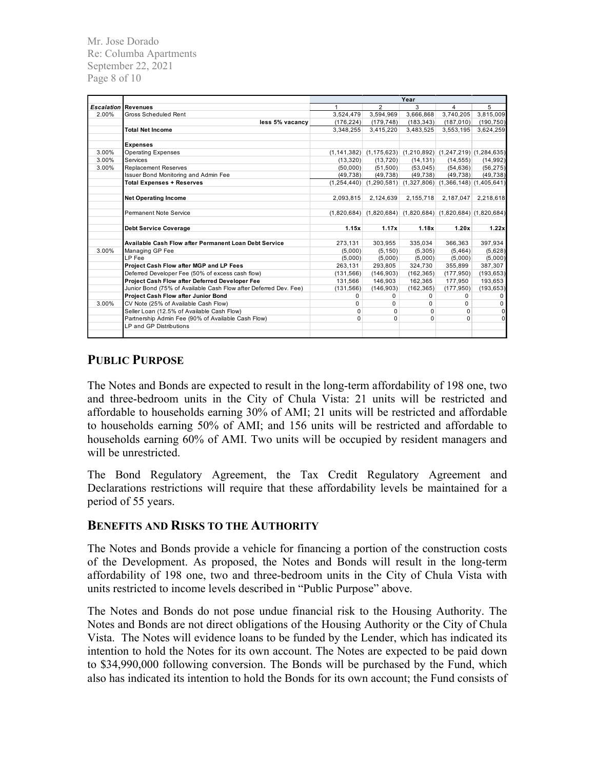Mr. Jose Dorado Re: Columba Apartments September 22, 2021 Page 8 of 10

|                   |                                                                  | Year       |                                                                       |            |            |             |
|-------------------|------------------------------------------------------------------|------------|-----------------------------------------------------------------------|------------|------------|-------------|
| <b>Escalation</b> | <b>Revenues</b>                                                  |            | $\overline{2}$                                                        | 3          | 4          | 5           |
| 2.00%             | <b>Gross Scheduled Rent</b>                                      | 3,524,479  | 3,594,969                                                             | 3,666,868  | 3,740,205  | 3,815,009   |
|                   | less 5% vacancy                                                  | (176, 224) | (179, 748)                                                            | (183, 343) | (187, 010) | (190, 750)  |
|                   | <b>Total Net Income</b>                                          | 3.348.255  | 3,415,220                                                             | 3,483,525  | 3,553,195  | 3,624,259   |
|                   | <b>Expenses</b>                                                  |            |                                                                       |            |            |             |
| 3.00%             | <b>Operating Expenses</b>                                        |            | $(1,141,382)$ $(1,175,623)$ $(1,210,892)$ $(1,247,219)$ $(1,284,635)$ |            |            |             |
| 3.00%             | Services                                                         |            | (13,320)<br>(13, 720)                                                 | (14, 131)  | (14, 555)  | (14, 992)   |
| 3.00%             | <b>Replacement Reserves</b>                                      | (50,000)   | (51,500)                                                              | (53,045)   | (54, 636)  | (56, 275)   |
|                   | Issuer Bond Monitoring and Admin Fee                             | (49, 738)  | (49, 738)                                                             | (49, 738)  | (49, 738)  | (49, 738)   |
|                   | <b>Total Expenses + Reserves</b>                                 |            | $(1,254,440)$ $(1,290,581)$ $(1,327,806)$ $(1,366,148)$ $(1,405,641)$ |            |            |             |
|                   | <b>Net Operating Income</b>                                      | 2,093,815  | 2,124,639                                                             | 2,155,718  | 2,187,047  | 2,218,618   |
|                   | Permanent Note Service                                           |            | $(1,820,684)$ $(1,820,684)$ $(1,820,684)$ $(1,820,684)$ $(1,820,684)$ |            |            |             |
|                   | <b>Debt Service Coverage</b>                                     | 1.15x      | 1.17x                                                                 | 1.18x      | 1.20x      | 1.22x       |
|                   |                                                                  |            |                                                                       |            |            |             |
|                   | Available Cash Flow after Permanent Loan Debt Service            | 273,131    | 303,955                                                               | 335,034    | 366,363    | 397,934     |
| 3.00%             | Managing GP Fee                                                  | (5,000)    | (5, 150)                                                              | (5, 305)   | (5, 464)   | (5,628)     |
|                   | LP Fee                                                           | (5,000)    | (5,000)                                                               | (5,000)    | (5,000)    | (5,000)     |
|                   | Project Cash Flow after MGP and LP Fees                          | 263.131    | 293.805                                                               | 324.730    | 355,899    | 387,307     |
|                   | Deferred Developer Fee (50% of excess cash flow)                 | (131, 566) | (146,903)                                                             | (162, 365) | (177, 950) | (193, 653)  |
|                   | Project Cash Flow after Deferred Developer Fee                   | 131,566    | 146,903                                                               | 162,365    | 177.950    | 193,653     |
|                   | Junior Bond (75% of Available Cash Flow after Deferred Dev. Fee) | (131, 566) | (146,903)                                                             | (162, 365) | (177, 950) | (193, 653)  |
|                   | <b>Project Cash Flow after Junior Bond</b>                       | 0          | 0                                                                     | 0          | $\Omega$   | $\mathbf 0$ |
| 3.00%             | CV Note (25% of Available Cash Flow)                             | 0          | 0                                                                     | $\Omega$   | $\Omega$   | $\mathbf 0$ |
|                   | Seller Loan (12.5% of Available Cash Flow)                       | 0          | 0                                                                     | $\Omega$   | 0          | $\mathbf 0$ |
|                   | Partnership Admin Fee (90% of Available Cash Flow)               | $\Omega$   | $\Omega$                                                              | $\Omega$   | $\Omega$   | $\Omega$    |
|                   | LP and GP Distributions                                          |            |                                                                       |            |            |             |

## **PUBLIC PURPOSE**

The Notes and Bonds are expected to result in the long-term affordability of 198 one, two and three-bedroom units in the City of Chula Vista: 21 units will be restricted and affordable to households earning 30% of AMI; 21 units will be restricted and affordable to households earning 50% of AMI; and 156 units will be restricted and affordable to households earning 60% of AMI. Two units will be occupied by resident managers and will be unrestricted.

The Bond Regulatory Agreement, the Tax Credit Regulatory Agreement and Declarations restrictions will require that these affordability levels be maintained for a period of 55 years.

### **BENEFITS AND RISKS TO THE AUTHORITY**

The Notes and Bonds provide a vehicle for financing a portion of the construction costs of the Development. As proposed, the Notes and Bonds will result in the long-term affordability of 198 one, two and three-bedroom units in the City of Chula Vista with units restricted to income levels described in "Public Purpose" above.

The Notes and Bonds do not pose undue financial risk to the Housing Authority. The Notes and Bonds are not direct obligations of the Housing Authority or the City of Chula Vista. The Notes will evidence loans to be funded by the Lender, which has indicated its intention to hold the Notes for its own account. The Notes are expected to be paid down to \$34,990,000 following conversion. The Bonds will be purchased by the Fund, which also has indicated its intention to hold the Bonds for its own account; the Fund consists of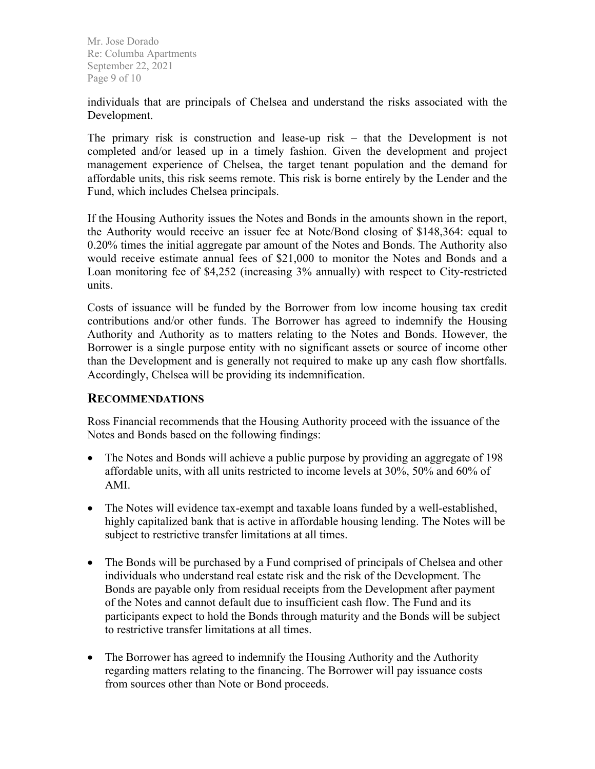Mr. Jose Dorado Re: Columba Apartments September 22, 2021 Page 9 of 10

individuals that are principals of Chelsea and understand the risks associated with the Development.

The primary risk is construction and lease-up risk – that the Development is not completed and/or leased up in a timely fashion. Given the development and project management experience of Chelsea, the target tenant population and the demand for affordable units, this risk seems remote. This risk is borne entirely by the Lender and the Fund, which includes Chelsea principals.

If the Housing Authority issues the Notes and Bonds in the amounts shown in the report, the Authority would receive an issuer fee at Note/Bond closing of \$148,364: equal to 0.20% times the initial aggregate par amount of the Notes and Bonds. The Authority also would receive estimate annual fees of \$21,000 to monitor the Notes and Bonds and a Loan monitoring fee of \$4,252 (increasing 3% annually) with respect to City-restricted units.

Costs of issuance will be funded by the Borrower from low income housing tax credit contributions and/or other funds. The Borrower has agreed to indemnify the Housing Authority and Authority as to matters relating to the Notes and Bonds. However, the Borrower is a single purpose entity with no significant assets or source of income other than the Development and is generally not required to make up any cash flow shortfalls. Accordingly, Chelsea will be providing its indemnification.

#### **RECOMMENDATIONS**

Ross Financial recommends that the Housing Authority proceed with the issuance of the Notes and Bonds based on the following findings:

- The Notes and Bonds will achieve a public purpose by providing an aggregate of 198 affordable units, with all units restricted to income levels at 30%, 50% and 60% of AMI.
- The Notes will evidence tax-exempt and taxable loans funded by a well-established, highly capitalized bank that is active in affordable housing lending. The Notes will be subject to restrictive transfer limitations at all times.
- The Bonds will be purchased by a Fund comprised of principals of Chelsea and other individuals who understand real estate risk and the risk of the Development. The Bonds are payable only from residual receipts from the Development after payment of the Notes and cannot default due to insufficient cash flow. The Fund and its participants expect to hold the Bonds through maturity and the Bonds will be subject to restrictive transfer limitations at all times.
- The Borrower has agreed to indemnify the Housing Authority and the Authority regarding matters relating to the financing. The Borrower will pay issuance costs from sources other than Note or Bond proceeds.